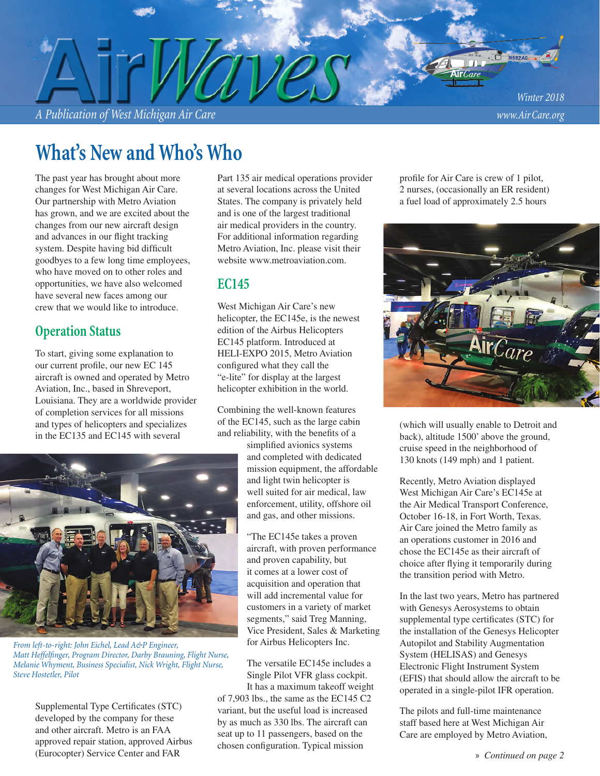*A Publication of West Michigan Air Care www.Air Care.org*

# **What's New and Who's Who**

The past year has brought about more changes for West Michigan Air Care. Our partnership with Metro Aviation has grown, and we are excited about the changes from our new aircraft design and advances in our flight tracking system. Despite having bid difficult goodbyes to a few long time employees, who have moved on to other roles and opportunities, we have also welcomed have several new faces among our crew that we would like to introduce.

## **Operation Status**

To start, giving some explanation to our current profile, our new EC 145 aircraft is owned and operated by Metro Aviation, Inc., based in Shreveport, Louisiana. They are a worldwide provider of completion services for all missions and types of helicopters and specializes in the EC135 and EC145 with several

Part 135 air medical operations provider at several locations across the United States. The company is privately held and is one of the largest traditional air medical providers in the country. For additional information regarding Metro Aviation, Inc. please visit their website www.metroaviation.com.

### **EC145**

West Michigan Air Care's new helicopter, the EC145e, is the newest edition of the Airbus Helicopters EC145 platform. Introduced at HELI-EXPO 2015, Metro Aviation configured what they call the "e-lite" for display at the largest helicopter exhibition in the world.

Combining the well-known features of the EC145, such as the large cabin and reliability, with the benefits of a

> simplified avionics systems and completed with dedicated mission equipment, the affordable and light twin helicopter is well suited for air medical, law enforcement, utility, offshore oil and gas, and other missions.

"The EC145e takes a proven aircraft, with proven performance and proven capability, but it comes at a lower cost of acquisition and operation that will add incremental value for customers in a variety of market segments," said Treg Manning, Vice President, Sales & Marketing for Airbus Helicopters Inc.

The versatile EC145e includes a Single Pilot VFR glass cockpit.

It has a maximum takeoff weight of 7,903 lbs., the same as the EC145 C2 variant, but the useful load is increased by as much as 330 lbs. The aircraft can seat up to 11 passengers, based on the chosen configuration. Typical mission

profile for Air Care is crew of 1 pilot, 2 nurses, (occasionally an ER resident) a fuel load of approximately 2.5 hours



(which will usually enable to Detroit and back), altitude 1500' above the ground, cruise speed in the neighborhood of 130 knots (149 mph) and 1 patient.

Recently, Metro Aviation displayed West Michigan Air Care's EC145e at the Air Medical Transport Conference, October 16-18, in Fort Worth, Texas. Air Care joined the Metro family as an operations customer in 2016 and chose the EC145e as their aircraft of choice after flying it temporarily during the transition period with Metro.

In the last two years, Metro has partnered with Genesys Aerosystems to obtain supplemental type certificates (STC) for the installation of the Genesys Helicopter Autopilot and Stability Augmentation System (HELISAS) and Genesys Electronic Flight Instrument System (EFIS) that should allow the aircraft to be operated in a single-pilot IFR operation.

The pilots and full-time maintenance staff based here at West Michigan Air Care are employed by Metro Aviation,



*From left-to-right: John Eichel, Lead A&P Engineer, Matt Heffelfinger, Program Director, Darby Brauning, Flight Nurse, Melanie Whyment, Business Specialist, Nick Wright, Flight Nurse, Steve Hostetler, Pilot*

Supplemental Type Certificates (STC) developed by the company for these and other aircraft. Metro is an FAA approved repair station, approved Airbus (Eurocopter) Service Center and FAR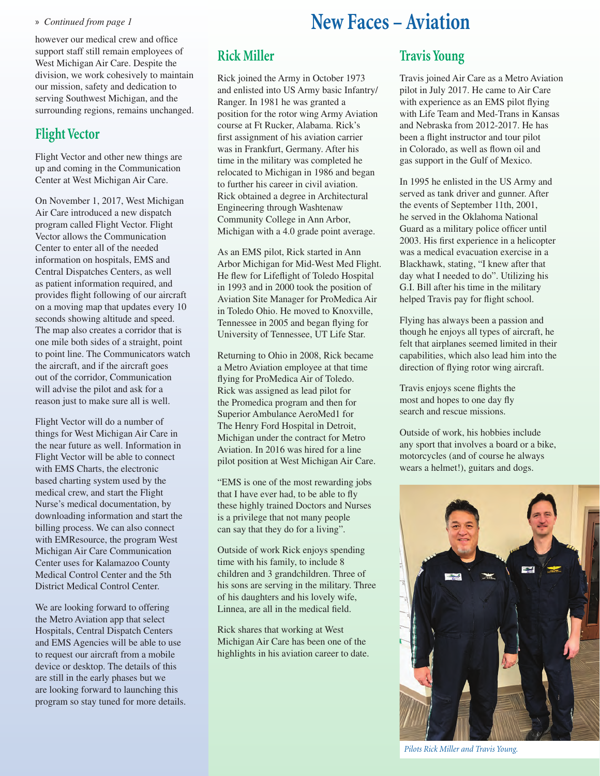#### » *Continued from page 1*

however our medical crew and office support staff still remain employees of West Michigan Air Care. Despite the division, we work cohesively to maintain our mission, safety and dedication to serving Southwest Michigan, and the surrounding regions, remains unchanged.

### **Flight Vector**

Flight Vector and other new things are up and coming in the Communication Center at West Michigan Air Care.

On November 1, 2017, West Michigan Air Care introduced a new dispatch program called Flight Vector. Flight Vector allows the Communication Center to enter all of the needed information on hospitals, EMS and Central Dispatches Centers, as well as patient information required, and provides flight following of our aircraft on a moving map that updates every 10 seconds showing altitude and speed. The map also creates a corridor that is one mile both sides of a straight, point to point line. The Communicators watch the aircraft, and if the aircraft goes out of the corridor, Communication will advise the pilot and ask for a reason just to make sure all is well.

Flight Vector will do a number of things for West Michigan Air Care in the near future as well. Information in Flight Vector will be able to connect with EMS Charts, the electronic based charting system used by the medical crew, and start the Flight Nurse's medical documentation, by downloading information and start the billing process. We can also connect with EMResource, the program West Michigan Air Care Communication Center uses for Kalamazoo County Medical Control Center and the 5th District Medical Control Center.

We are looking forward to offering the Metro Aviation app that select Hospitals, Central Dispatch Centers and EMS Agencies will be able to use to request our aircraft from a mobile device or desktop. The details of this are still in the early phases but we are looking forward to launching this program so stay tuned for more details.

# **New Faces – Aviation**

## **Rick Miller**

Rick joined the Army in October 1973 and enlisted into US Army basic Infantry/ Ranger. In 1981 he was granted a position for the rotor wing Army Aviation course at Ft Rucker, Alabama. Rick's first assignment of his aviation carrier was in Frankfurt, Germany. After his time in the military was completed he relocated to Michigan in 1986 and began to further his career in civil aviation. Rick obtained a degree in Architectural Engineering through Washtenaw Community College in Ann Arbor, Michigan with a 4.0 grade point average.

As an EMS pilot, Rick started in Ann Arbor Michigan for Mid-West Med Flight. He flew for Lifeflight of Toledo Hospital in 1993 and in 2000 took the position of Aviation Site Manager for ProMedica Air in Toledo Ohio. He moved to Knoxville, Tennessee in 2005 and began flying for University of Tennessee, UT Life Star.

Returning to Ohio in 2008, Rick became a Metro Aviation employee at that time flying for ProMedica Air of Toledo. Rick was assigned as lead pilot for the Promedica program and then for Superior Ambulance AeroMed1 for The Henry Ford Hospital in Detroit, Michigan under the contract for Metro Aviation. In 2016 was hired for a line pilot position at West Michigan Air Care.

"EMS is one of the most rewarding jobs that I have ever had, to be able to fly these highly trained Doctors and Nurses is a privilege that not many people can say that they do for a living".

Outside of work Rick enjoys spending time with his family, to include 8 children and 3 grandchildren. Three of his sons are serving in the military. Three of his daughters and his lovely wife, Linnea, are all in the medical field.

Rick shares that working at West Michigan Air Care has been one of the highlights in his aviation career to date.

#### **Travis Young**

Travis joined Air Care as a Metro Aviation pilot in July 2017. He came to Air Care with experience as an EMS pilot flying with Life Team and Med-Trans in Kansas and Nebraska from 2012-2017. He has been a flight instructor and tour pilot in Colorado, as well as flown oil and gas support in the Gulf of Mexico.

In 1995 he enlisted in the US Army and served as tank driver and gunner. After the events of September 11th, 2001, he served in the Oklahoma National Guard as a military police officer until 2003. His first experience in a helicopter was a medical evacuation exercise in a Blackhawk, stating, "I knew after that day what I needed to do". Utilizing his G.I. Bill after his time in the military helped Travis pay for flight school.

Flying has always been a passion and though he enjoys all types of aircraft, he felt that airplanes seemed limited in their capabilities, which also lead him into the direction of flying rotor wing aircraft.

Travis enjoys scene flights the most and hopes to one day fly search and rescue missions.

Outside of work, his hobbies include any sport that involves a board or a bike, motorcycles (and of course he always wears a helmet!), guitars and dogs.



*Pilots Rick Miller and Travis Young.*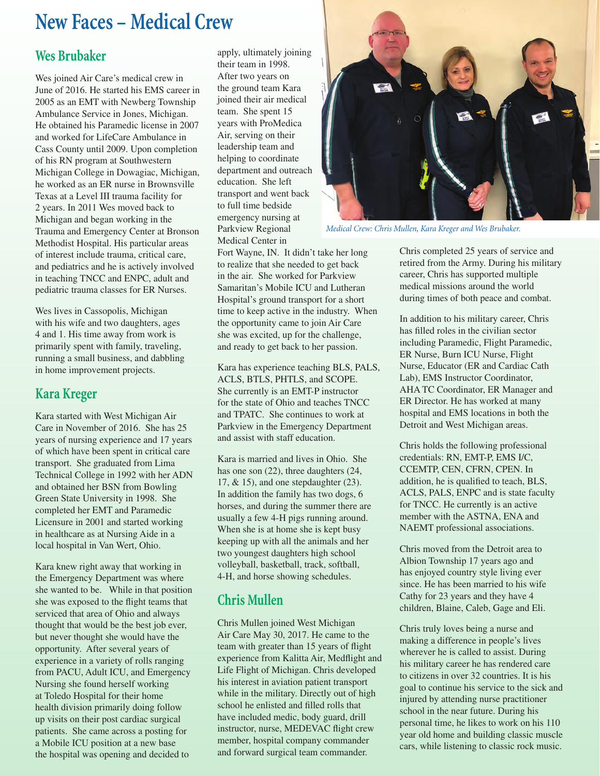# **New Faces – Medical Crew**

### **Wes Brubaker**

Wes joined Air Care's medical crew in June of 2016. He started his EMS career in 2005 as an EMT with Newberg Township Ambulance Service in Jones, Michigan. He obtained his Paramedic license in 2007 and worked for LifeCare Ambulance in Cass County until 2009. Upon completion of his RN program at Southwestern Michigan College in Dowagiac, Michigan, he worked as an ER nurse in Brownsville Texas at a Level III trauma facility for 2 years. In 2011 Wes moved back to Michigan and began working in the Trauma and Emergency Center at Bronson Methodist Hospital. His particular areas of interest include trauma, critical care, and pediatrics and he is actively involved in teaching TNCC and ENPC, adult and pediatric trauma classes for ER Nurses.

Wes lives in Cassopolis, Michigan with his wife and two daughters, ages 4 and 1. His time away from work is primarily spent with family, traveling, running a small business, and dabbling in home improvement projects.

### **Kara Kreger**

Kara started with West Michigan Air Care in November of 2016. She has 25 years of nursing experience and 17 years of which have been spent in critical care transport. She graduated from Lima Technical College in 1992 with her ADN and obtained her BSN from Bowling Green State University in 1998. She completed her EMT and Paramedic Licensure in 2001 and started working in healthcare as at Nursing Aide in a local hospital in Van Wert, Ohio.

Kara knew right away that working in the Emergency Department was where she wanted to be. While in that position she was exposed to the flight teams that serviced that area of Ohio and always thought that would be the best job ever, but never thought she would have the opportunity. After several years of experience in a variety of rolls ranging from PACU, Adult ICU, and Emergency Nursing she found herself working at Toledo Hospital for their home health division primarily doing follow up visits on their post cardiac surgical patients. She came across a posting for a Mobile ICU position at a new base the hospital was opening and decided to

apply, ultimately joining their team in 1998. After two years on the ground team Kara joined their air medical team. She spent 15 years with ProMedica Air, serving on their leadership team and helping to coordinate department and outreach education. She left transport and went back to full time bedside emergency nursing at Parkview Regional Medical Center in



*Medical Crew: Chris Mullen, Kara Kreger and Wes Brubaker.*

Fort Wayne, IN. It didn't take her long to realize that she needed to get back in the air. She worked for Parkview Samaritan's Mobile ICU and Lutheran Hospital's ground transport for a short time to keep active in the industry. When the opportunity came to join Air Care she was excited, up for the challenge, and ready to get back to her passion.

Kara has experience teaching BLS, PALS, ACLS, BTLS, PHTLS, and SCOPE. She currently is an EMT-P instructor for the state of Ohio and teaches TNCC and TPATC. She continues to work at Parkview in the Emergency Department and assist with staff education.

Kara is married and lives in Ohio. She has one son (22), three daughters (24, 17, & 15), and one stepdaughter (23). In addition the family has two dogs, 6 horses, and during the summer there are usually a few 4-H pigs running around. When she is at home she is kept busy keeping up with all the animals and her two youngest daughters high school volleyball, basketball, track, softball, 4-H, and horse showing schedules.

## **Chris Mullen**

Chris Mullen joined West Michigan Air Care May 30, 2017. He came to the team with greater than 15 years of flight experience from Kalitta Air, Medflight and Life Flight of Michigan. Chris developed his interest in aviation patient transport while in the military. Directly out of high school he enlisted and filled rolls that have included medic, body guard, drill instructor, nurse, MEDEVAC flight crew member, hospital company commander and forward surgical team commander.

Chris completed 25 years of service and retired from the Army. During his military career, Chris has supported multiple medical missions around the world during times of both peace and combat.

In addition to his military career, Chris has filled roles in the civilian sector including Paramedic, Flight Paramedic, ER Nurse, Burn ICU Nurse, Flight Nurse, Educator (ER and Cardiac Cath Lab), EMS Instructor Coordinator, AHA TC Coordinator, ER Manager and ER Director. He has worked at many hospital and EMS locations in both the Detroit and West Michigan areas.

Chris holds the following professional credentials: RN, EMT-P, EMS I/C, CCEMTP, CEN, CFRN, CPEN. In addition, he is qualified to teach, BLS, ACLS, PALS, ENPC and is state faculty for TNCC. He currently is an active member with the ASTNA, ENA and NAEMT professional associations.

Chris moved from the Detroit area to Albion Township 17 years ago and has enjoyed country style living ever since. He has been married to his wife Cathy for 23 years and they have 4 children, Blaine, Caleb, Gage and Eli.

Chris truly loves being a nurse and making a difference in people's lives wherever he is called to assist. During his military career he has rendered care to citizens in over 32 countries. It is his goal to continue his service to the sick and injured by attending nurse practitioner school in the near future. During his personal time, he likes to work on his 110 year old home and building classic muscle cars, while listening to classic rock music.